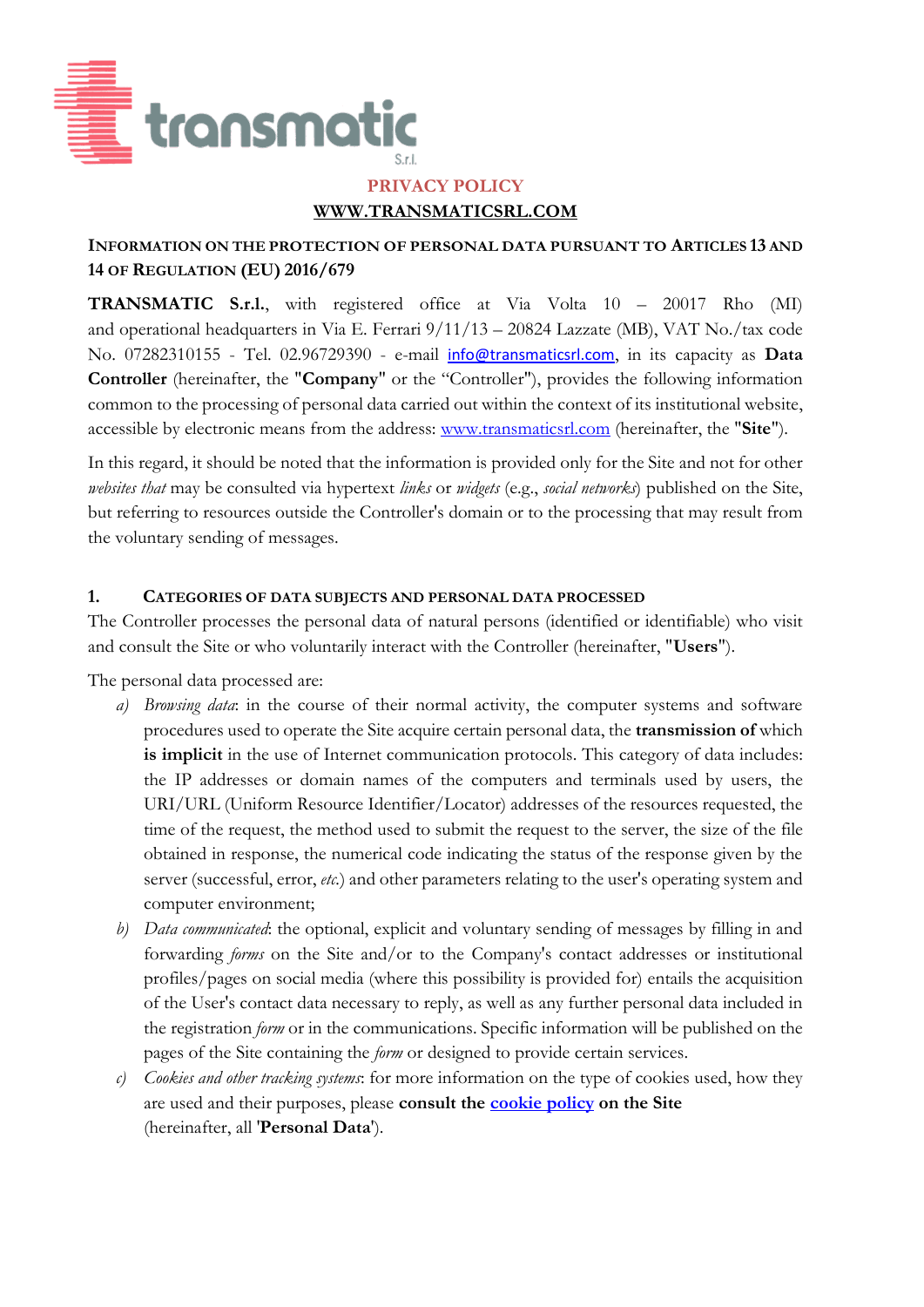

### **PRIVACY POLICY WWW.TRANSMATICSRL.COM**

#### **INFORMATION ON THE PROTECTION OF PERSONAL DATA PURSUANT TO ARTICLES 13 AND 14 OF REGULATION (EU) 2016/679**

**TRANSMATIC S.r.l.**, with registered office at Via Volta 10 – 20017 Rho (MI) and operational headquarters in Via E. Ferrari 9/11/13 – 20824 Lazzate (MB), VAT No./tax code No. 07282310155 - Tel. 02.96729390 - e-mail [info@transmaticsrl.com](mailto:info@transmaticsrl.com), in its capacity as **Data Controller** (hereinafter, the "**Company**" or the "Controller"), provides the following information common to the processing of personal data carried out within the context of its institutional website, accessible by electronic means from the address: [www.transmaticsrl.com](http://www.transmaticsrl.com/) (hereinafter, the "**Site**").

In this regard, it should be noted that the information is provided only for the Site and not for other *websites that* may be consulted via hypertext *links* or *widgets* (e.g., *social networks*) published on the Site, but referring to resources outside the Controller's domain or to the processing that may result from the voluntary sending of messages.

#### **1. CATEGORIES OF DATA SUBJECTS AND PERSONAL DATA PROCESSED**

The Controller processes the personal data of natural persons (identified or identifiable) who visit and consult the Site or who voluntarily interact with the Controller (hereinafter, "**Users**").

The personal data processed are:

- *a) Browsing data*: in the course of their normal activity, the computer systems and software procedures used to operate the Site acquire certain personal data, the **transmission of** which is implicit in the use of Internet communication protocols. This category of data includes: the IP addresses or domain names of the computers and terminals used by users, the URI/URL (Uniform Resource Identifier/Locator) addresses of the resources requested, the time of the request, the method used to submit the request to the server, the size of the file obtained in response, the numerical code indicating the status of the response given by the server (successful, error, *etc.*) and other parameters relating to the user's operating system and computer environment;
- *b) Data communicated*: the optional, explicit and voluntary sending of messages by filling in and forwarding *forms* on the Site and/or to the Company's contact addresses or institutional profiles/pages on social media (where this possibility is provided for) entails the acquisition of the User's contact data necessary to reply, as well as any further personal data included in the registration *form* or in the communications. Specific information will be published on the pages of the Site containing the *form* or designed to provide certain services.
- *c) Cookies and other tracking systems*: for more information on the type of cookies used, how they are used and their purposes, please **consult the [cookie policy](https://www.transmaticsrl.com/en/informativa-cookies/) on the Site** (hereinafter, all '**Personal Data**').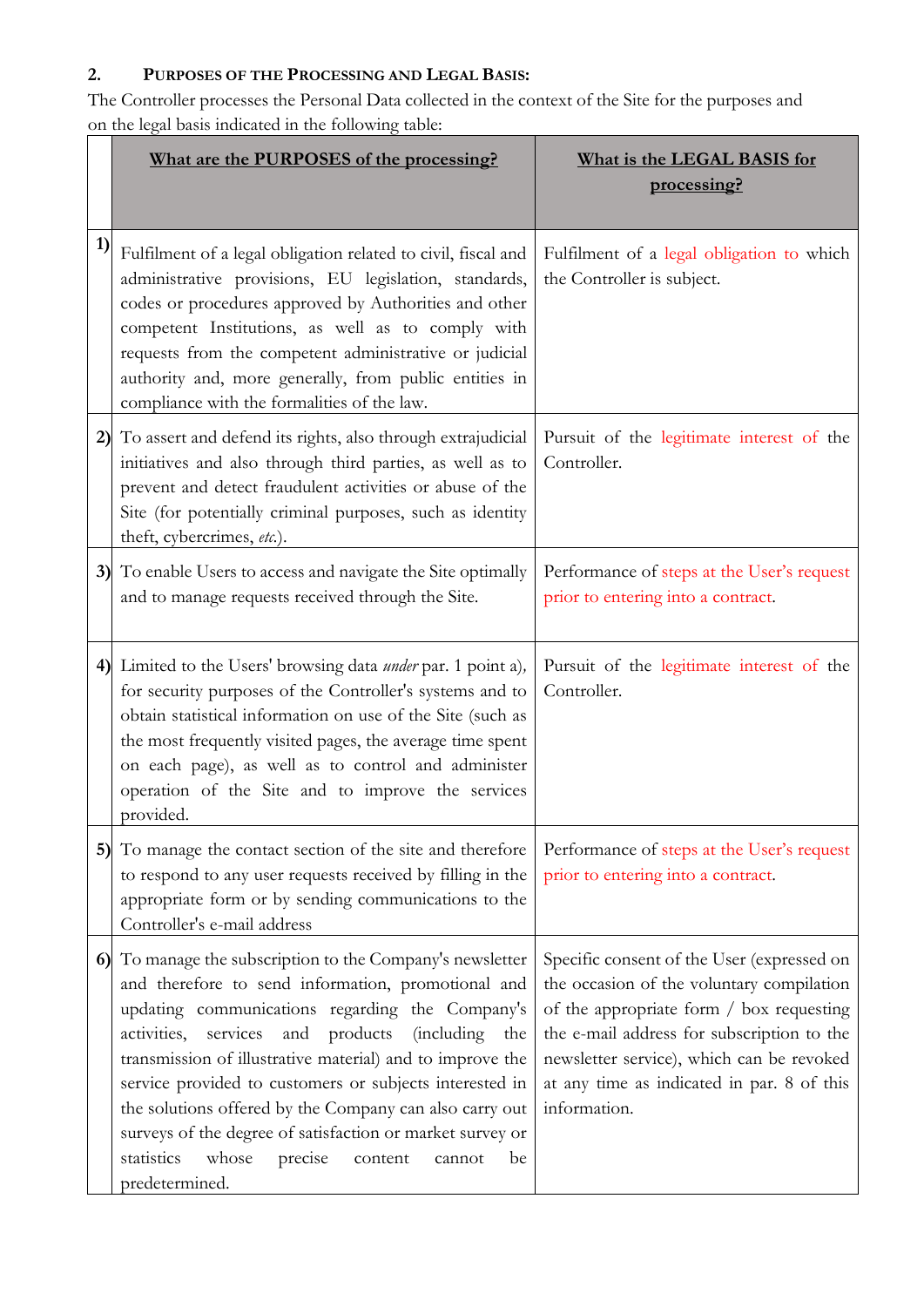# **2. PURPOSES OF THE PROCESSING AND LEGAL BASIS:**

The Controller processes the Personal Data collected in the context of the Site for the purposes and on the legal basis indicated in the following table:

|    | What are the PURPOSES of the processing?                                                                                                                                                                                                                                                                                                                                                                                                                                                                                                                                     | What is the LEGAL BASIS for<br>processing?                                                                                                                                                                                                                                                   |
|----|------------------------------------------------------------------------------------------------------------------------------------------------------------------------------------------------------------------------------------------------------------------------------------------------------------------------------------------------------------------------------------------------------------------------------------------------------------------------------------------------------------------------------------------------------------------------------|----------------------------------------------------------------------------------------------------------------------------------------------------------------------------------------------------------------------------------------------------------------------------------------------|
| 1) | Fulfilment of a legal obligation related to civil, fiscal and<br>administrative provisions, EU legislation, standards,<br>codes or procedures approved by Authorities and other<br>competent Institutions, as well as to comply with<br>requests from the competent administrative or judicial<br>authority and, more generally, from public entities in<br>compliance with the formalities of the law.                                                                                                                                                                      | Fulfilment of a legal obligation to which<br>the Controller is subject.                                                                                                                                                                                                                      |
|    | 2) To assert and defend its rights, also through extrajudicial<br>initiatives and also through third parties, as well as to<br>prevent and detect fraudulent activities or abuse of the<br>Site (for potentially criminal purposes, such as identity<br>theft, cybercrimes, etc.).                                                                                                                                                                                                                                                                                           | Pursuit of the legitimate interest of the<br>Controller.                                                                                                                                                                                                                                     |
|    | 3) To enable Users to access and navigate the Site optimally<br>and to manage requests received through the Site.                                                                                                                                                                                                                                                                                                                                                                                                                                                            | Performance of steps at the User's request<br>prior to entering into a contract.                                                                                                                                                                                                             |
|    | 4) Limited to the Users' browsing data <i>under</i> par. 1 point a),<br>for security purposes of the Controller's systems and to<br>obtain statistical information on use of the Site (such as<br>the most frequently visited pages, the average time spent<br>on each page), as well as to control and administer<br>operation of the Site and to improve the services<br>provided.                                                                                                                                                                                         | Pursuit of the legitimate interest of the<br>Controller.                                                                                                                                                                                                                                     |
|    | 5) To manage the contact section of the site and therefore<br>to respond to any user requests received by filling in the<br>appropriate form or by sending communications to the<br>Controller's e-mail address                                                                                                                                                                                                                                                                                                                                                              | Performance of steps at the User's request<br>prior to entering into a contract.                                                                                                                                                                                                             |
|    | 6) To manage the subscription to the Company's newsletter<br>and therefore to send information, promotional and<br>updating communications regarding the Company's<br>products<br>activities,<br><i>(including)</i><br>services<br>and<br>the<br>transmission of illustrative material) and to improve the<br>service provided to customers or subjects interested in<br>the solutions offered by the Company can also carry out<br>surveys of the degree of satisfaction or market survey or<br>statistics<br>whose<br>precise<br>be<br>content<br>cannot<br>predetermined. | Specific consent of the User (expressed on<br>the occasion of the voluntary compilation<br>of the appropriate form / box requesting<br>the e-mail address for subscription to the<br>newsletter service), which can be revoked<br>at any time as indicated in par. 8 of this<br>information. |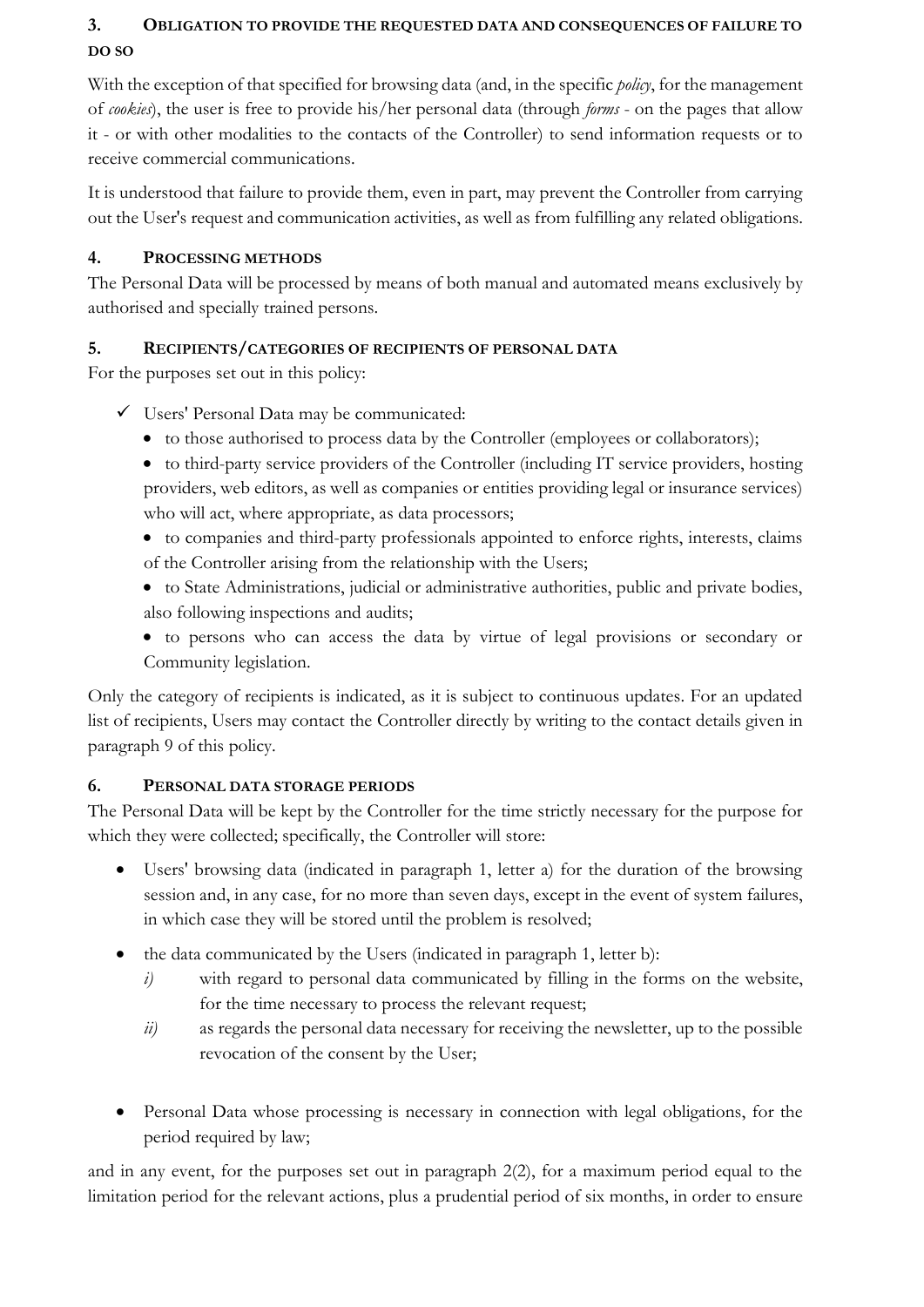# **3. OBLIGATION TO PROVIDE THE REQUESTED DATA AND CONSEQUENCES OF FAILURE TO DO SO**

With the exception of that specified for browsing data (and, in the specific *policy*, for the management of *cookies*), the user is free to provide his/her personal data (through *forms* - on the pages that allow it - or with other modalities to the contacts of the Controller) to send information requests or to receive commercial communications.

It is understood that failure to provide them, even in part, may prevent the Controller from carrying out the User's request and communication activities, as well as from fulfilling any related obligations.

### **4. PROCESSING METHODS**

The Personal Data will be processed by means of both manual and automated means exclusively by authorised and specially trained persons.

### **5. RECIPIENTS/CATEGORIES OF RECIPIENTS OF PERSONAL DATA**

For the purposes set out in this policy:

- ✓ Users' Personal Data may be communicated:
	- to those authorised to process data by the Controller (employees or collaborators);
	- to third-party service providers of the Controller (including IT service providers, hosting providers, web editors, as well as companies or entities providing legal or insurance services) who will act, where appropriate, as data processors;
	- to companies and third-party professionals appointed to enforce rights, interests, claims of the Controller arising from the relationship with the Users;
	- to State Administrations, judicial or administrative authorities, public and private bodies, also following inspections and audits;
	- to persons who can access the data by virtue of legal provisions or secondary or Community legislation.

Only the category of recipients is indicated, as it is subject to continuous updates. For an updated list of recipients, Users may contact the Controller directly by writing to the contact details given in paragraph 9 of this policy.

### **6. PERSONAL DATA STORAGE PERIODS**

The Personal Data will be kept by the Controller for the time strictly necessary for the purpose for which they were collected; specifically, the Controller will store:

- Users' browsing data (indicated in paragraph 1, letter a) for the duration of the browsing session and, in any case, for no more than seven days, except in the event of system failures, in which case they will be stored until the problem is resolved;
- the data communicated by the Users (indicated in paragraph 1, letter b):
	- *i*) with regard to personal data communicated by filling in the forms on the website, for the time necessary to process the relevant request;
	- *ii*) as regards the personal data necessary for receiving the newsletter, up to the possible revocation of the consent by the User;
- Personal Data whose processing is necessary in connection with legal obligations, for the period required by law;

and in any event, for the purposes set out in paragraph 2(2), for a maximum period equal to the limitation period for the relevant actions, plus a prudential period of six months, in order to ensure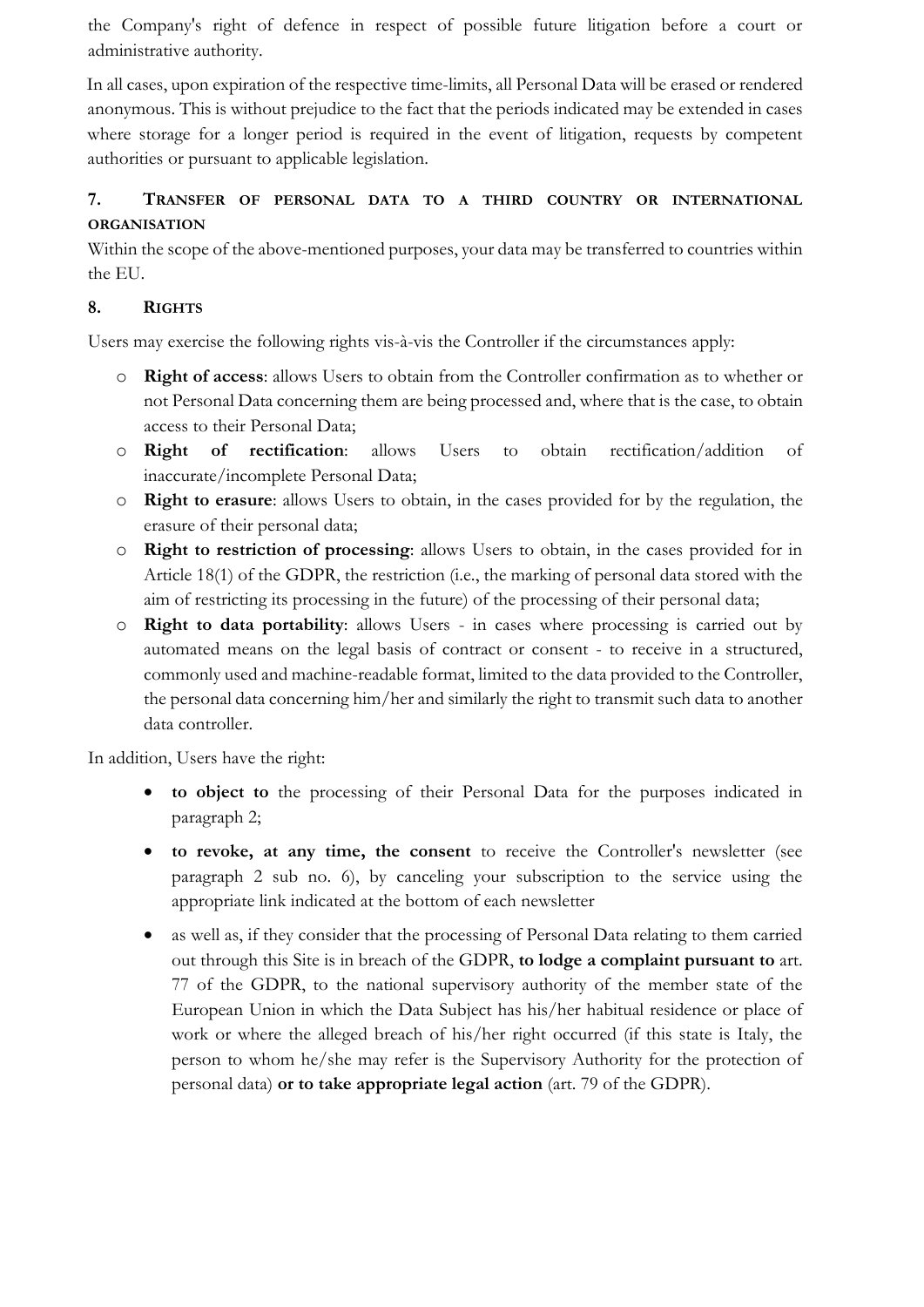the Company's right of defence in respect of possible future litigation before a court or administrative authority.

In all cases, upon expiration of the respective time-limits, all Personal Data will be erased or rendered anonymous. This is without prejudice to the fact that the periods indicated may be extended in cases where storage for a longer period is required in the event of litigation, requests by competent authorities or pursuant to applicable legislation.

# **7. TRANSFER OF PERSONAL DATA TO A THIRD COUNTRY OR INTERNATIONAL ORGANISATION**

Within the scope of the above-mentioned purposes, your data may be transferred to countries within the EU.

### **8. RIGHTS**

Users may exercise the following rights vis-à-vis the Controller if the circumstances apply:

- o **Right of access**: allows Users to obtain from the Controller confirmation as to whether or not Personal Data concerning them are being processed and, where that is the case, to obtain access to their Personal Data;
- o **Right of rectification**: allows Users to obtain rectification/addition of inaccurate/incomplete Personal Data;
- o **Right to erasure**: allows Users to obtain, in the cases provided for by the regulation, the erasure of their personal data;
- o **Right to restriction of processing**: allows Users to obtain, in the cases provided for in Article 18(1) of the GDPR, the restriction (i.e., the marking of personal data stored with the aim of restricting its processing in the future) of the processing of their personal data;
- o **Right to data portability**: allows Users in cases where processing is carried out by automated means on the legal basis of contract or consent - to receive in a structured, commonly used and machine-readable format, limited to the data provided to the Controller, the personal data concerning him/her and similarly the right to transmit such data to another data controller.

In addition, Users have the right:

- **to object to** the processing of their Personal Data for the purposes indicated in paragraph 2;
- **to revoke, at any time, the consent** to receive the Controller's newsletter (see paragraph 2 sub no. 6), by canceling your subscription to the service using the appropriate link indicated at the bottom of each newsletter
- as well as, if they consider that the processing of Personal Data relating to them carried out through this Site is in breach of the GDPR, **to lodge a complaint pursuant to** art. 77 of the GDPR, to the national supervisory authority of the member state of the European Union in which the Data Subject has his/her habitual residence or place of work or where the alleged breach of his/her right occurred (if this state is Italy, the person to whom he/she may refer is the Supervisory Authority for the protection of personal data) **or to take appropriate legal action** (art. 79 of the GDPR).